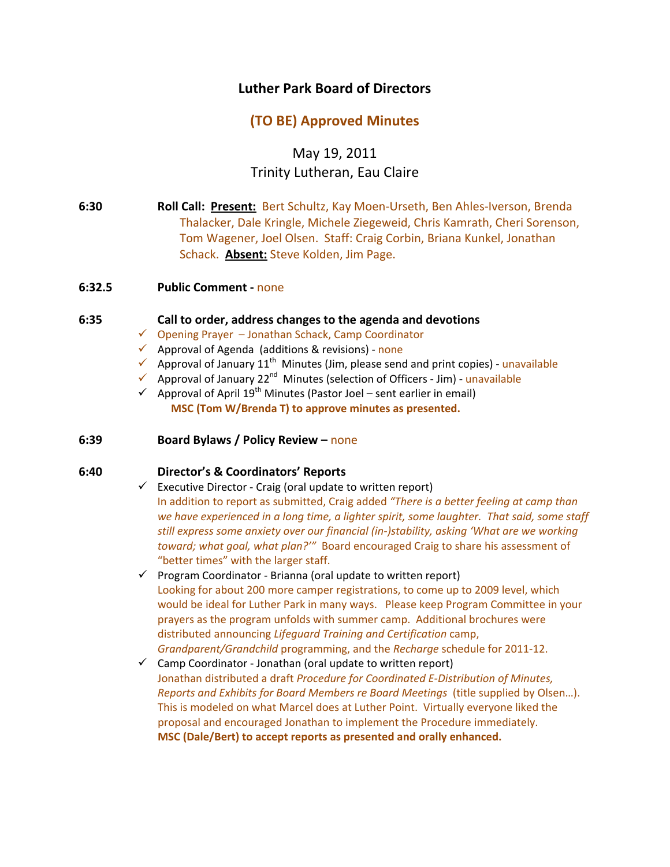# **Luther Park Board of Directors**

# **(TO BE) Approved Minutes**

May 19, 2011 Trinity Lutheran, Eau Claire

- **6:30 Roll Call: Present:** Bert Schultz, Kay Moen‐Urseth, Ben Ahles‐Iverson, Brenda Thalacker, Dale Kringle, Michele Ziegeweid, Chris Kamrath, Cheri Sorenson, Tom Wagener, Joel Olsen. Staff: Craig Corbin, Briana Kunkel, Jonathan Schack. **Absent:** Steve Kolden, Jim Page.
- **6:32.5 Public Comment ‐** none

#### **6:35 Call to order, address changes to the agenda and devotions**

- $\checkmark$  Opening Prayer Jonathan Schack, Camp Coordinator
- $\checkmark$  Approval of Agenda (additions & revisions) none
- $\checkmark$  Approval of January 11<sup>th</sup> Minutes (Jim, please send and print copies) unavailable
- ◆ Approval of January 22<sup>nd</sup> Minutes (selection of Officers Jim) unavailable
- $\checkmark$  Approval of April 19<sup>th</sup> Minutes (Pastor Joel sent earlier in email)  **MSC (Tom W/Brenda T) to approve minutes as presented.**

#### **6:39 Board Bylaws / Policy Review –** none

### **6:40 Director's & Coordinators' Reports**

- $\checkmark$  Executive Director Craig (oral update to written report) In addition to report as submitted, Craig added *"There is a better feeling at camp than we have experienced in a long time, a lighter spirit, some laughter. That said, some staff still express some anxiety over our financial (in‐)stability, asking 'What are we working toward; what goal, what plan?'"* Board encouraged Craig to share his assessment of "better times" with the larger staff.
- $\checkmark$  Program Coordinator Brianna (oral update to written report) Looking for about 200 more camper registrations, to come up to 2009 level, which would be ideal for Luther Park in many ways. Please keep Program Committee in your prayers as the program unfolds with summer camp. Additional brochures were distributed announcing *Lifeguard Training and Certification* camp, *Grandparent/Grandchild* programming, and the *Recharge* schedule for 2011‐12.
- $\checkmark$  Camp Coordinator Jonathan (oral update to written report) Jonathan distributed a draft *Procedure for Coordinated E‐Distribution of Minutes, Reports and Exhibits for Board Members re Board Meetings* (title supplied by Olsen…). This is modeled on what Marcel does at Luther Point. Virtually everyone liked the proposal and encouraged Jonathan to implement the Procedure immediately. **MSC (Dale/Bert) to accept reports as presented and orally enhanced.**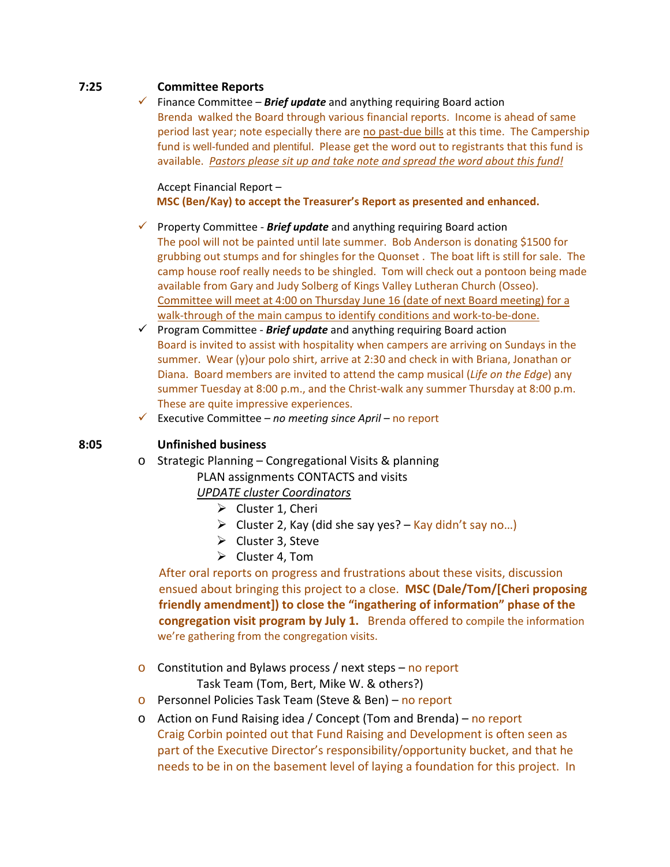## **7:25 Committee Reports**

 $\checkmark$  Finance Committee – **Brief update** and anything requiring Board action Brenda walked the Board through various financial reports. Income is ahead of same period last year; note especially there are no past-due bills at this time. The Campership fund is well-funded and plentiful. Please get the word out to registrants that this fund is available. *Pastors please sit up and take note and spread the word about this fund!*

Accept Financial Report –

**MSC (Ben/Kay) to accept the Treasurer's Report as presented and enhanced.**

- 9 Property Committee ‐ *Brief update* and anything requiring Board action The pool will not be painted until late summer. Bob Anderson is donating \$1500 for grubbing out stumps and for shingles for the Quonset . The boat lift is still for sale. The camp house roof really needs to be shingled. Tom will check out a pontoon being made available from Gary and Judy Solberg of Kings Valley Lutheran Church (Osseo). Committee will meet at 4:00 on Thursday June 16 (date of next Board meeting) for a walk-through of the main campus to identify conditions and work-to-be-done.
- 9 Program Committee ‐ *Brief update* and anything requiring Board action Board is invited to assist with hospitality when campers are arriving on Sundays in the summer. Wear (y)our polo shirt, arrive at 2:30 and check in with Briana, Jonathan or Diana. Board members are invited to attend the camp musical (*Life on the Edge*) any summer Tuesday at 8:00 p.m., and the Christ-walk any summer Thursday at 8:00 p.m. These are quite impressive experiences.
- 9 Executive Committee *no meeting since April –* no report

## **8:05 Unfinished business**

o Strategic Planning – Congregational Visits & planning PLAN assignments CONTACTS and visits

*UPDATE cluster Coordinators*

- $\triangleright$  Cluster 1, Cheri
- $\triangleright$  Cluster 2, Kay (did she say yes? Kay didn't say no...)
- $\triangleright$  Cluster 3, Steve
- $\triangleright$  Cluster 4, Tom

 After oral reports on progress and frustrations about these visits, discussion ensued about bringing this project to a close. **MSC (Dale/Tom/[Cheri proposing friendly amendment]) to close the "ingathering of information" phase of the congregation visit program by July 1.** Brenda offered to compile the information we're gathering from the congregation visits.

o Constitution and Bylaws process / next steps – no report

Task Team (Tom, Bert, Mike W. & others?)

- o Personnel Policies Task Team (Steve & Ben) no report
- o Action on Fund Raising idea / Concept (Tom and Brenda) no report Craig Corbin pointed out that Fund Raising and Development is often seen as part of the Executive Director's responsibility/opportunity bucket, and that he needs to be in on the basement level of laying a foundation for this project. In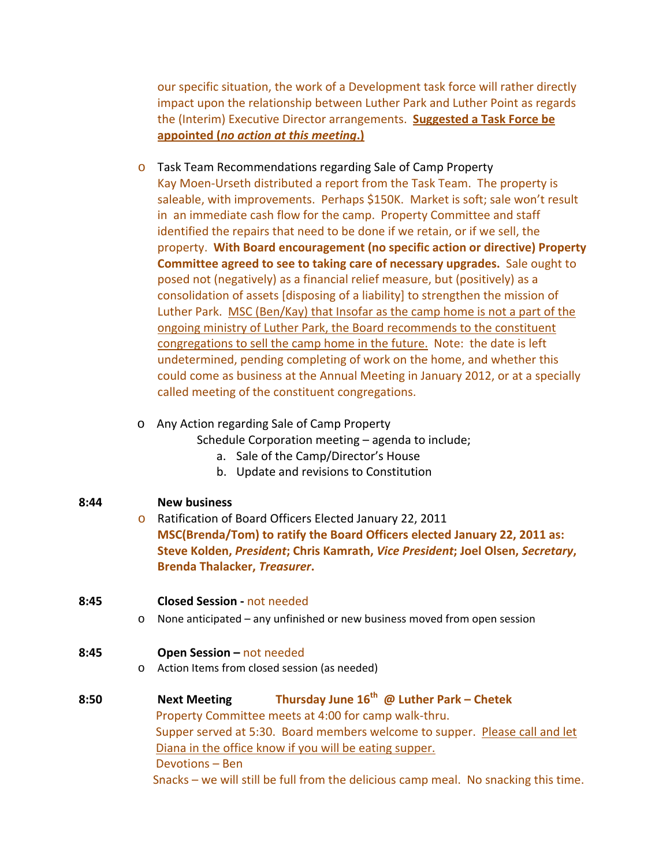our specific situation, the work of a Development task force will rather directly impact upon the relationship between Luther Park and Luther Point as regards the (Interim) Executive Director arrangements. **Suggested a Task Force be appointed (***no action at this meeting***.)**

o Task Team Recommendations regarding Sale of Camp Property Kay Moen‐Urseth distributed a report from the Task Team. The property is saleable, with improvements. Perhaps \$150K. Market is soft; sale won't result in an immediate cash flow for the camp. Property Committee and staff identified the repairs that need to be done if we retain, or if we sell, the property. **With Board encouragement (no specific action or directive) Property Committee agreed to see to taking care of necessary upgrades.** Sale ought to posed not (negatively) as a financial relief measure, but (positively) as a consolidation of assets [disposing of a liability] to strengthen the mission of Luther Park. MSC (Ben/Kay) that Insofar as the camp home is not a part of the ongoing ministry of Luther Park, the Board recommends to the constituent congregations to sell the camp home in the future. Note: the date is left undetermined, pending completing of work on the home, and whether this could come as business at the Annual Meeting in January 2012, or at a specially called meeting of the constituent congregations.

## o Any Action regarding Sale of Camp Property

Schedule Corporation meeting – agenda to include;

- a. Sale of the Camp/Director's House
- b. Update and revisions to Constitution

## **8:44 New business**

- o Ratification of Board Officers Elected January 22, 2011 **MSC(Brenda/Tom) to ratify the Board Officers elected January 22, 2011 as: Steve Kolden,** *President***; Chris Kamrath,** *Vice President***; Joel Olsen,** *Secretary***, Brenda Thalacker,** *Treasurer***.**
- **8:45 Closed Session ‐** not needed
	- o None anticipated any unfinished or new business moved from open session

## **8:45 Open Session –** not needed

o Action Items from closed session (as needed)

# **8:50 Next Meeting Thursday June 16th @ Luther Park – Chetek** Property Committee meets at 4:00 for camp walk‐thru. Supper served at 5:30. Board members welcome to supper. Please call and let Diana in the office know if you will be eating supper. Devotions – Ben Snacks – we will still be full from the delicious camp meal. No snacking this time.